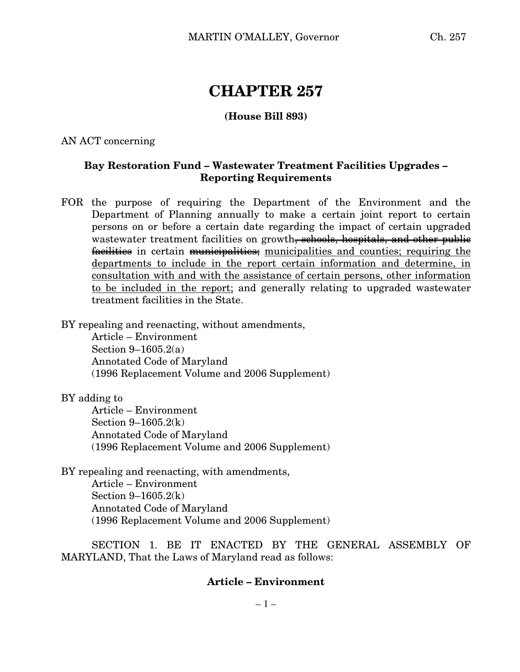# **CHAPTER 257**

## **(House Bill 893)**

AN ACT concerning

## **Bay Restoration Fund – Wastewater Treatment Facilities Upgrades – Reporting Requirements**

FOR the purpose of requiring the Department of the Environment and the Department of Planning annually to make a certain joint report to certain persons on or before a certain date regarding the impact of certain upgraded wastewater treatment facilities on growth<del>, schools, hospitals, and other public</del> facilities in certain municipalities; municipalities and counties; requiring the departments to include in the report certain information and determine, in consultation with and with the assistance of certain persons, other information to be included in the report; and generally relating to upgraded wastewater treatment facilities in the State.

BY repealing and reenacting, without amendments,

Article – Environment Section 9–1605.2(a) Annotated Code of Maryland (1996 Replacement Volume and 2006 Supplement)

BY adding to

Article – Environment Section 9–1605.2(k) Annotated Code of Maryland (1996 Replacement Volume and 2006 Supplement)

BY repealing and reenacting, with amendments, Article – Environment Section 9–1605.2(k) Annotated Code of Maryland (1996 Replacement Volume and 2006 Supplement)

SECTION 1. BE IT ENACTED BY THE GENERAL ASSEMBLY OF MARYLAND, That the Laws of Maryland read as follows:

### **Article – Environment**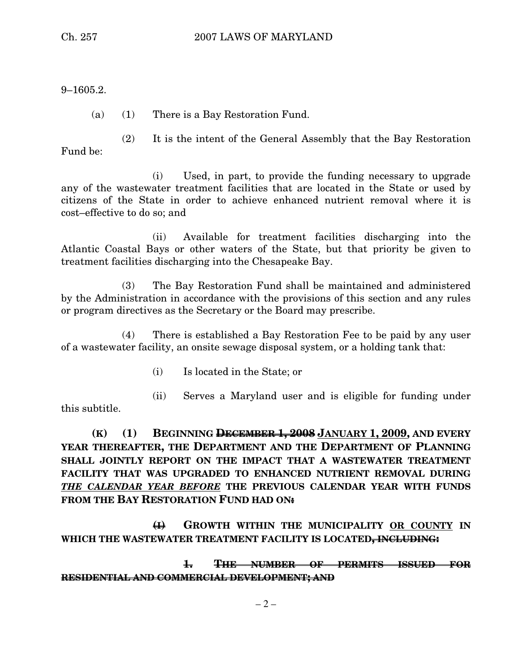9–1605.2.

(a) (1) There is a Bay Restoration Fund.

Fund be:

(2) It is the intent of the General Assembly that the Bay Restoration

(i) Used, in part, to provide the funding necessary to upgrade any of the wastewater treatment facilities that are located in the State or used by citizens of the State in order to achieve enhanced nutrient removal where it is cost–effective to do so; and

(ii) Available for treatment facilities discharging into the Atlantic Coastal Bays or other waters of the State, but that priority be given to treatment facilities discharging into the Chesapeake Bay.

(3) The Bay Restoration Fund shall be maintained and administered by the Administration in accordance with the provisions of this section and any rules or program directives as the Secretary or the Board may prescribe.

(4) There is established a Bay Restoration Fee to be paid by any user of a wastewater facility, an onsite sewage disposal system, or a holding tank that:

(i) Is located in the State; or

this subtitle.

(ii) Serves a Maryland user and is eligible for funding under

**(K) (1) BEGINNING DECEMBER 1, 2008 JANUARY 1, 2009, AND EVERY YEAR THEREAFTER, THE DEPARTMENT AND THE DEPARTMENT OF PLANNING SHALL JOINTLY REPORT ON THE IMPACT THAT A WASTEWATER TREATMENT FACILITY THAT WAS UPGRADED TO ENHANCED NUTRIENT REMOVAL DURING** *THE CALENDAR YEAR BEFORE* **THE PREVIOUS CALENDAR YEAR WITH FUNDS FROM THE BAY RESTORATION FUND HAD ON:**

**(I) GROWTH WITHIN THE MUNICIPALITY OR COUNTY IN WHICH THE WASTEWATER TREATMENT FACILITY IS LOCATED, INCLUDING:**

**1. THE NUMBER OF PERMITS ISSUED FOR RESIDENTIAL AND COMMERCIAL DEVELOPMENT; AND**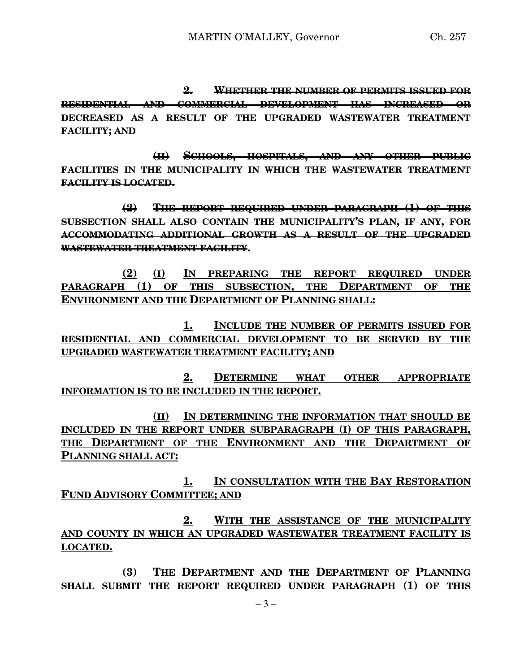**2. WHETHER THE NUMBER OF PERMITS ISSUED FOR RESIDENTIAL AND COMMERCIAL DEVELOPMENT HAS INCREASED OR DECREASED AS A RESULT OF THE UPGRADED WASTEWATER TREATMENT FACILITY; AND**

**(II) SCHOOLS, HOSPITALS, AND ANY OTHER PUBLIC FACILITIES IN THE MUNICIPALITY IN WHICH THE WASTEWATER TREATMENT FACILITY IS LOCATED.**

**(2) THE REPORT REQUIRED UNDER PARAGRAPH (1) OF THIS SUBSECTION SHALL ALSO CONTAIN THE MUNICIPALITY'S PLAN, IF ANY, FOR ACCOMMODATING ADDITIONAL GROWTH AS A RESULT OF THE UPGRADED WASTEWATER TREATMENT FACILITY.**

**(2) (I) IN PREPARING THE REPORT REQUIRED UNDER PARAGRAPH (1) OF THIS SUBSECTION, THE DEPARTMENT OF THE ENVIRONMENT AND THE DEPARTMENT OF PLANNING SHALL:**

**1. INCLUDE THE NUMBER OF PERMITS ISSUED FOR RESIDENTIAL AND COMMERCIAL DEVELOPMENT TO BE SERVED BY THE UPGRADED WASTEWATER TREATMENT FACILITY; AND**

**2. DETERMINE WHAT OTHER APPROPRIATE INFORMATION IS TO BE INCLUDED IN THE REPORT.**

**(II) IN DETERMINING THE INFORMATION THAT SHOULD BE INCLUDED IN THE REPORT UNDER SUBPARAGRAPH (I) OF THIS PARAGRAPH, THE DEPARTMENT OF THE ENVIRONMENT AND THE DEPARTMENT OF PLANNING SHALL ACT:**

**1. IN CONSULTATION WITH THE BAY RESTORATION FUND ADVISORY COMMITTEE; AND**

**2. WITH THE ASSISTANCE OF THE MUNICIPALITY AND COUNTY IN WHICH AN UPGRADED WASTEWATER TREATMENT FACILITY IS LOCATED.**

**(3) THE DEPARTMENT AND THE DEPARTMENT OF PLANNING SHALL SUBMIT THE REPORT REQUIRED UNDER PARAGRAPH (1) OF THIS**